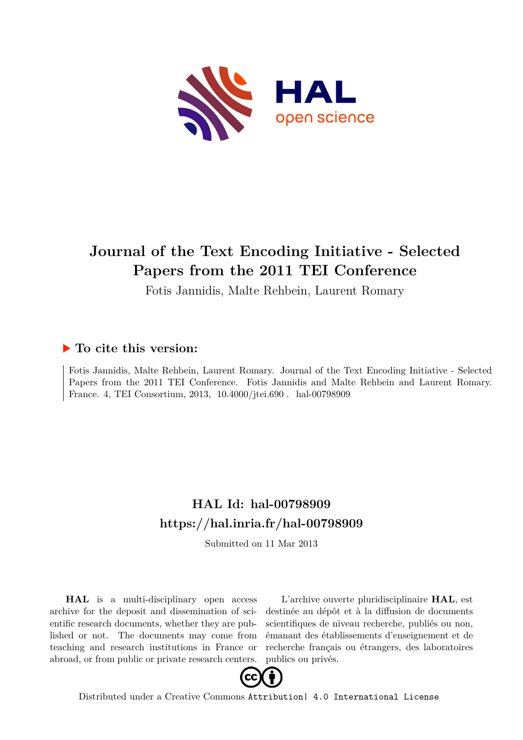

# **Journal of the Text Encoding Initiative - Selected Papers from the 2011 TEI Conference**

Fotis Jannidis, Malte Rehbein, Laurent Romary

### **To cite this version:**

Fotis Jannidis, Malte Rehbein, Laurent Romary. Journal of the Text Encoding Initiative - Selected Papers from the 2011 TEI Conference. Fotis Jannidis and Malte Rehbein and Laurent Romary. France. 4, TEI Consortium, 2013, 10.4000/jtei.690. hal-00798909

### **HAL Id: hal-00798909 <https://hal.inria.fr/hal-00798909>**

Submitted on 11 Mar 2013

**HAL** is a multi-disciplinary open access archive for the deposit and dissemination of scientific research documents, whether they are published or not. The documents may come from teaching and research institutions in France or abroad, or from public or private research centers.

L'archive ouverte pluridisciplinaire **HAL**, est destinée au dépôt et à la diffusion de documents scientifiques de niveau recherche, publiés ou non, émanant des établissements d'enseignement et de recherche français ou étrangers, des laboratoires publics ou privés.



Distributed under a Creative Commons [Attribution| 4.0 International License](http://creativecommons.org/licenses/by/4.0/)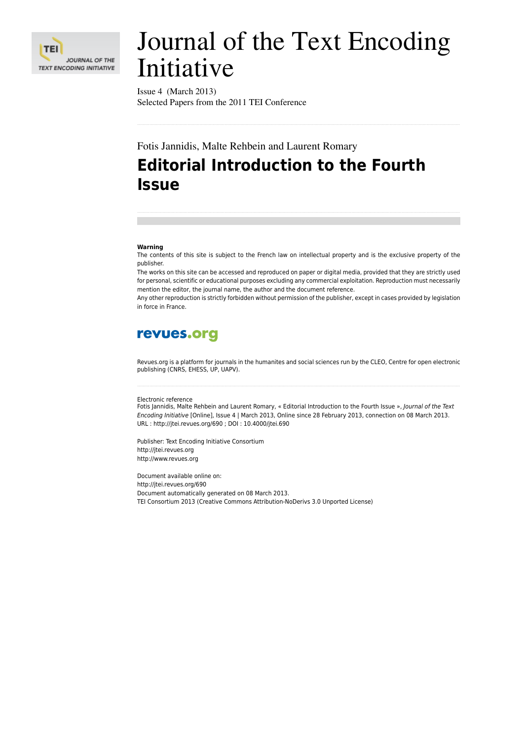

# Journal of the Text Encoding Initiative

Issue 4 (March 2013) Selected Papers from the 2011 TEI Conference

Fotis Jannidis, Malte Rehbein and Laurent Romary

# **Editorial Introduction to the Fourth Issue**

#### **Warning**

The contents of this site is subject to the French law on intellectual property and is the exclusive property of the publisher.

The works on this site can be accessed and reproduced on paper or digital media, provided that they are strictly used for personal, scientific or educational purposes excluding any commercial exploitation. Reproduction must necessarily mention the editor, the journal name, the author and the document reference.

Any other reproduction is strictly forbidden without permission of the publisher, except in cases provided by legislation in force in France.

### revues.org

Revues.org is a platform for journals in the humanites and social sciences run by the CLEO, Centre for open electronic publishing (CNRS, EHESS, UP, UAPV).

#### Electronic reference

Fotis Jannidis, Malte Rehbein and Laurent Romary, « Editorial Introduction to the Fourth Issue », *Journal of the Text Encoding Initiative* [Online], Issue 4 | March 2013, Online since 28 February 2013, connection on 08 March 2013. URL : http://jtei.revues.org/690 ; DOI : 10.4000/jtei.690

Publisher: Text Encoding Initiative Consortium http://itei.revues.org [http://www.revues.org](http://www.revues.org/)

Document available online on: <http://jtei.revues.org/690> Document automatically generated on 08 March 2013. TEI Consortium 2013 (Creative Commons Attribution-NoDerivs 3.0 Unported License)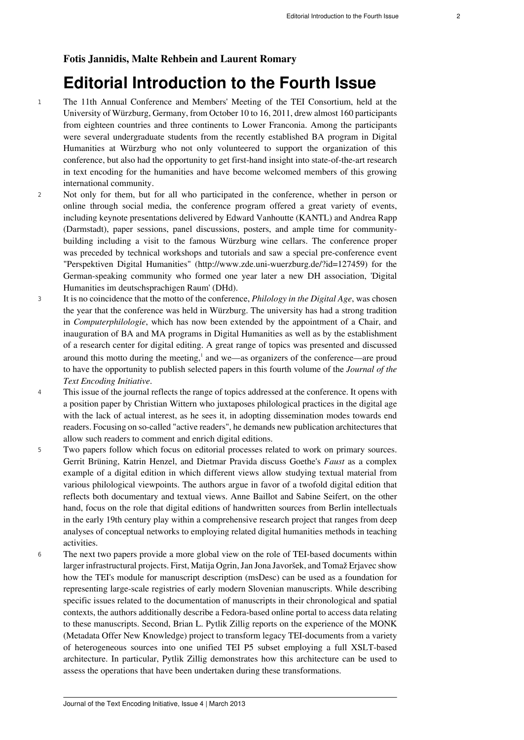#### **Fotis Jannidis, Malte Rehbein and Laurent Romary**

## **Editorial Introduction to the Fourth Issue**

- <sup>1</sup> The [11th Annual Conference and Members' Meeting of the TEI Consortium,](http://www.zde.uni-wuerzburg.de/tei_mm_2011) held at the University of Würzburg, Germany, from October 10 to 16, 2011, drew almost 160 participants from eighteen countries and three continents to Lower Franconia. Among the participants were several undergraduate students from the recently established BA program in Digital Humanities at Würzburg who not only volunteered to support the organization of this conference, but also had the opportunity to get first-hand insight into state-of-the-art research in text encoding for the humanities and have become welcomed members of this growing international community.
- <sup>2</sup> Not only for them, but for all who participated in the conference, whether in person or online through social media, the conference program offered a great variety of events, including keynote presentations delivered by Edward Vanhoutte (KANTL) and Andrea Rapp (Darmstadt), paper sessions, panel discussions, posters, and ample time for communitybuilding including a visit to the famous Würzburg wine cellars. The conference proper was preceded by technical workshops and tutorials and saw a special pre-conference event "Perspektiven Digital Humanities" [\(http://www.zde.uni-wuerzburg.de/?id=127459\)](http://www.zde.uni-wuerzburg.de/?id=127459) for the German-speaking community who formed one year later a new DH association, '[Digital](http://www.dig-hum.de/) [Humanities im deutschsprachigen Raum](http://www.dig-hum.de/)' (DHd).
- <sup>3</sup> It is no coincidence that the motto of the conference, *Philology in the Digital Age*, was chosen the year that the conference was held in Würzburg. The university has had a strong tradition in *Computerphilologie*, which has now been extended by the appointment of a Chair, and inauguration of BA and MA programs in Digital Humanities as well as by the establishment of [a research center for digital editing.](http://www.zde.uni-wuerzburg.de/) A great range of topics was presented and discussed around this motto during the meeting, $\frac{1}{2}$  $\frac{1}{2}$  $\frac{1}{2}$  and we—as organizers of the conference—are proud to have the opportunity to publish selected papers in this fourth volume of the *Journal of the Text Encoding Initiative*.
- <span id="page-2-0"></span><sup>4</sup> This issue of the journal reflects the range of topics addressed at the conference. It opens with a position paper by Christian Wittern who juxtaposes philological practices in the digital age with the lack of actual interest, as he sees it, in adopting dissemination modes towards end readers. Focusing on so-called "active readers", he demands new publication architectures that allow such readers to comment and enrich digital editions.
- <sup>5</sup> Two papers follow which focus on editorial processes related to work on primary sources. Gerrit Brüning, Katrin Henzel, and Dietmar Pravida discuss Goethe's *Faust* as a complex example of a digital edition in which different views allow studying textual material from various philological viewpoints. The authors argue in favor of a twofold digital edition that reflects both documentary and textual views. Anne Baillot and Sabine Seifert, on the other hand, focus on the role that digital editions of handwritten sources from Berlin intellectuals in the early 19th century play within a comprehensive research project that ranges from deep analyses of conceptual networks to employing related digital humanities methods in teaching activities.
- <sup>6</sup> The next two papers provide a more global view on the role of TEI-based documents within larger infrastructural projects. First, Matija Ogrin, Jan Jona Javoršek, and Tomaž Erjavec show how the TEI's module for manuscript description (msDesc) can be used as a foundation for representing large-scale registries of early modern Slovenian manuscripts. While describing specific issues related to the documentation of manuscripts in their chronological and spatial contexts, the authors additionally describe a Fedora-based online portal to access data relating to these manuscripts. Second, Brian L. Pytlik Zillig reports on the experience of the MONK (Metadata Offer New Knowledge) project to transform legacy TEI-documents from a variety of heterogeneous sources into one unified TEI P5 subset employing a full XSLT-based architecture. In particular, Pytlik Zillig demonstrates how this architecture can be used to assess the operations that have been undertaken during these transformations.